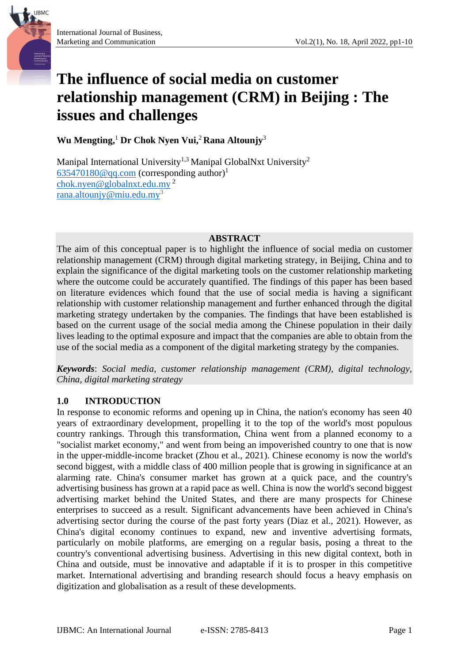**IJBMC** 





**Wu Mengting,** <sup>1</sup> **Dr Chok Nyen Vui,** <sup>2</sup> **Rana Altounjy**<sup>3</sup>

Manipal International University<sup>1,3</sup> Manipal GlobalNxt University<sup>2</sup>  $635470180@qq.com$  (corresponding author)<sup>1</sup> [chok.nyen@globalnxt.edu.my](mailto:chok.nyen@globalnxt.edu.my) <sup>2</sup> [rana.altounjy@miu.edu.my](mailto:rana.altounjy@miu.edu.my)<sup>3</sup>

### **ABSTRACT**

The aim of this conceptual paper is to highlight the influence of social media on customer relationship management (CRM) through digital marketing strategy, in Beijing, China and to explain the significance of the digital marketing tools on the customer relationship marketing where the outcome could be accurately quantified. The findings of this paper has been based on literature evidences which found that the use of social media is having a significant relationship with customer relationship management and further enhanced through the digital marketing strategy undertaken by the companies. The findings that have been established is based on the current usage of the social media among the Chinese population in their daily lives leading to the optimal exposure and impact that the companies are able to obtain from the use of the social media as a component of the digital marketing strategy by the companies.

*Keywords*: *Social media, customer relationship management (CRM), digital technology, China, digital marketing strategy*

### **1.0 INTRODUCTION**

In response to economic reforms and opening up in China, the nation's economy has seen 40 years of extraordinary development, propelling it to the top of the world's most populous country rankings. Through this transformation, China went from a planned economy to a "socialist market economy," and went from being an impoverished country to one that is now in the upper-middle-income bracket (Zhou et al., 2021). Chinese economy is now the world's second biggest, with a middle class of 400 million people that is growing in significance at an alarming rate. China's consumer market has grown at a quick pace, and the country's advertising business has grown at a rapid pace as well. China is now the world's second biggest advertising market behind the United States, and there are many prospects for Chinese enterprises to succeed as a result. Significant advancements have been achieved in China's advertising sector during the course of the past forty years (Diaz et al., 2021). However, as China's digital economy continues to expand, new and inventive advertising formats, particularly on mobile platforms, are emerging on a regular basis, posing a threat to the country's conventional advertising business. Advertising in this new digital context, both in China and outside, must be innovative and adaptable if it is to prosper in this competitive market. International advertising and branding research should focus a heavy emphasis on digitization and globalisation as a result of these developments.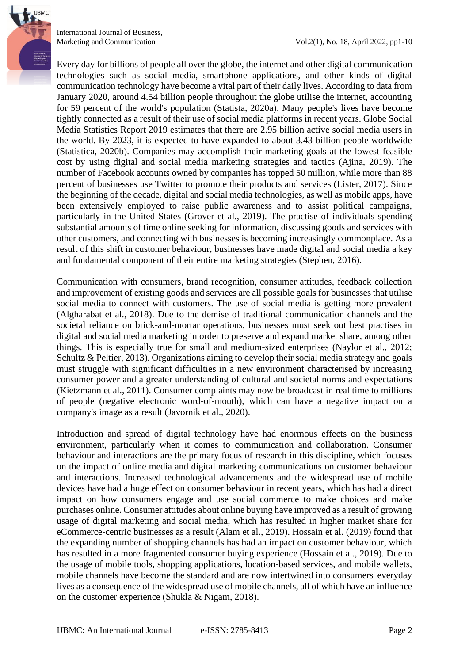

International Journal of Business,

Every day for billions of people all over the globe, the internet and other digital communication technologies such as social media, smartphone applications, and other kinds of digital communication technology have become a vital part of their daily lives. According to data from January 2020, around 4.54 billion people throughout the globe utilise the internet, accounting for 59 percent of the world's population (Statista, 2020a). Many people's lives have become tightly connected as a result of their use of social media platforms in recent years. Globe Social Media Statistics Report 2019 estimates that there are 2.95 billion active social media users in the world. By 2023, it is expected to have expanded to about 3.43 billion people worldwide (Statistica, 2020b). Companies may accomplish their marketing goals at the lowest feasible cost by using digital and social media marketing strategies and tactics (Ajina, 2019). The number of Facebook accounts owned by companies has topped 50 million, while more than 88 percent of businesses use Twitter to promote their products and services (Lister, 2017). Since the beginning of the decade, digital and social media technologies, as well as mobile apps, have been extensively employed to raise public awareness and to assist political campaigns, particularly in the United States (Grover et al., 2019). The practise of individuals spending substantial amounts of time online seeking for information, discussing goods and services with other customers, and connecting with businesses is becoming increasingly commonplace. As a result of this shift in customer behaviour, businesses have made digital and social media a key and fundamental component of their entire marketing strategies (Stephen, 2016).

Communication with consumers, brand recognition, consumer attitudes, feedback collection and improvement of existing goods and services are all possible goals for businesses that utilise social media to connect with customers. The use of social media is getting more prevalent (Algharabat et al., 2018). Due to the demise of traditional communication channels and the societal reliance on brick-and-mortar operations, businesses must seek out best practises in digital and social media marketing in order to preserve and expand market share, among other things. This is especially true for small and medium-sized enterprises (Naylor et al., 2012; Schultz & Peltier, 2013). Organizations aiming to develop their social media strategy and goals must struggle with significant difficulties in a new environment characterised by increasing consumer power and a greater understanding of cultural and societal norms and expectations (Kietzmann et al., 2011). Consumer complaints may now be broadcast in real time to millions of people (negative electronic word-of-mouth), which can have a negative impact on a company's image as a result (Javornik et al., 2020).

Introduction and spread of digital technology have had enormous effects on the business environment, particularly when it comes to communication and collaboration. Consumer behaviour and interactions are the primary focus of research in this discipline, which focuses on the impact of online media and digital marketing communications on customer behaviour and interactions. Increased technological advancements and the widespread use of mobile devices have had a huge effect on consumer behaviour in recent years, which has had a direct impact on how consumers engage and use social commerce to make choices and make purchases online. Consumer attitudes about online buying have improved as a result of growing usage of digital marketing and social media, which has resulted in higher market share for eCommerce-centric businesses as a result (Alam et al., 2019). Hossain et al. (2019) found that the expanding number of shopping channels has had an impact on customer behaviour, which has resulted in a more fragmented consumer buying experience (Hossain et al., 2019). Due to the usage of mobile tools, shopping applications, location-based services, and mobile wallets, mobile channels have become the standard and are now intertwined into consumers' everyday lives as a consequence of the widespread use of mobile channels, all of which have an influence on the customer experience (Shukla & Nigam, 2018).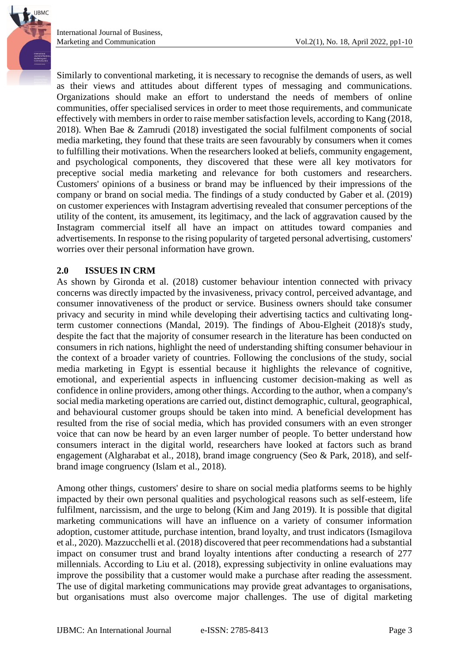Similarly to conventional marketing, it is necessary to recognise the demands of users, as well as their views and attitudes about different types of messaging and communications. Organizations should make an effort to understand the needs of members of online communities, offer specialised services in order to meet those requirements, and communicate effectively with members in order to raise member satisfaction levels, according to Kang (2018, 2018). When Bae & Zamrudi (2018) investigated the social fulfilment components of social media marketing, they found that these traits are seen favourably by consumers when it comes to fulfilling their motivations. When the researchers looked at beliefs, community engagement, and psychological components, they discovered that these were all key motivators for preceptive social media marketing and relevance for both customers and researchers. Customers' opinions of a business or brand may be influenced by their impressions of the company or brand on social media. The findings of a study conducted by Gaber et al. (2019) on customer experiences with Instagram advertising revealed that consumer perceptions of the utility of the content, its amusement, its legitimacy, and the lack of aggravation caused by the Instagram commercial itself all have an impact on attitudes toward companies and advertisements. In response to the rising popularity of targeted personal advertising, customers' worries over their personal information have grown.

### **2.0 ISSUES IN CRM**

As shown by Gironda et al. (2018) customer behaviour intention connected with privacy concerns was directly impacted by the invasiveness, privacy control, perceived advantage, and consumer innovativeness of the product or service. Business owners should take consumer privacy and security in mind while developing their advertising tactics and cultivating longterm customer connections (Mandal, 2019). The findings of Abou-Elgheit (2018)'s study, despite the fact that the majority of consumer research in the literature has been conducted on consumers in rich nations, highlight the need of understanding shifting consumer behaviour in the context of a broader variety of countries. Following the conclusions of the study, social media marketing in Egypt is essential because it highlights the relevance of cognitive, emotional, and experiential aspects in influencing customer decision-making as well as confidence in online providers, among other things. According to the author, when a company's social media marketing operations are carried out, distinct demographic, cultural, geographical, and behavioural customer groups should be taken into mind. A beneficial development has resulted from the rise of social media, which has provided consumers with an even stronger voice that can now be heard by an even larger number of people. To better understand how consumers interact in the digital world, researchers have looked at factors such as brand engagement (Algharabat et al., 2018), brand image congruency (Seo & Park, 2018), and selfbrand image congruency (Islam et al., 2018).

Among other things, customers' desire to share on social media platforms seems to be highly impacted by their own personal qualities and psychological reasons such as self-esteem, life fulfilment, narcissism, and the urge to belong (Kim and Jang 2019). It is possible that digital marketing communications will have an influence on a variety of consumer information adoption, customer attitude, purchase intention, brand loyalty, and trust indicators (Ismagilova et al., 2020). Mazzucchelli et al. (2018) discovered that peer recommendations had a substantial impact on consumer trust and brand loyalty intentions after conducting a research of 277 millennials. According to Liu et al. (2018), expressing subjectivity in online evaluations may improve the possibility that a customer would make a purchase after reading the assessment. The use of digital marketing communications may provide great advantages to organisations, but organisations must also overcome major challenges. The use of digital marketing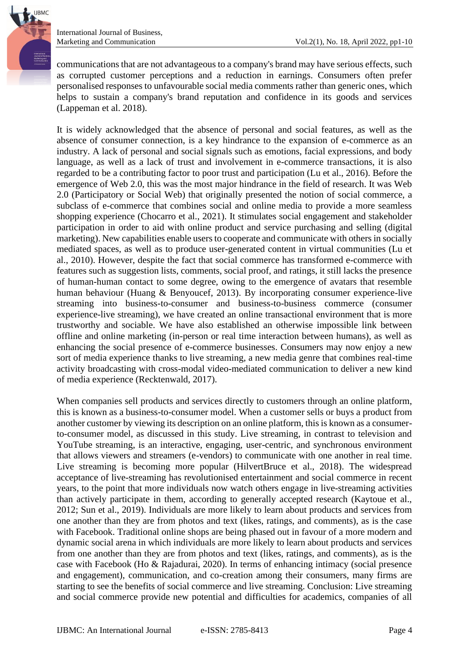

International Journal of Business,

communications that are not advantageous to a company's brand may have serious effects, such as corrupted customer perceptions and a reduction in earnings. Consumers often prefer personalised responses to unfavourable social media comments rather than generic ones, which helps to sustain a company's brand reputation and confidence in its goods and services (Lappeman et al. 2018).

It is widely acknowledged that the absence of personal and social features, as well as the absence of consumer connection, is a key hindrance to the expansion of e-commerce as an industry. A lack of personal and social signals such as emotions, facial expressions, and body language, as well as a lack of trust and involvement in e-commerce transactions, it is also regarded to be a contributing factor to poor trust and participation (Lu et al., 2016). Before the emergence of Web 2.0, this was the most major hindrance in the field of research. It was Web 2.0 (Participatory or Social Web) that originally presented the notion of social commerce, a subclass of e-commerce that combines social and online media to provide a more seamless shopping experience (Chocarro et al., 2021). It stimulates social engagement and stakeholder participation in order to aid with online product and service purchasing and selling (digital marketing). New capabilities enable users to cooperate and communicate with others in socially mediated spaces, as well as to produce user-generated content in virtual communities (Lu et al., 2010). However, despite the fact that social commerce has transformed e-commerce with features such as suggestion lists, comments, social proof, and ratings, it still lacks the presence of human-human contact to some degree, owing to the emergence of avatars that resemble human behaviour (Huang & Benyoucef, 2013). By incorporating consumer experience-live streaming into business-to-consumer and business-to-business commerce (consumer experience-live streaming), we have created an online transactional environment that is more trustworthy and sociable. We have also established an otherwise impossible link between offline and online marketing (in-person or real time interaction between humans), as well as enhancing the social presence of e-commerce businesses. Consumers may now enjoy a new sort of media experience thanks to live streaming, a new media genre that combines real-time activity broadcasting with cross-modal video-mediated communication to deliver a new kind of media experience (Recktenwald, 2017).

When companies sell products and services directly to customers through an online platform, this is known as a business-to-consumer model. When a customer sells or buys a product from another customer by viewing its description on an online platform, this is known as a consumerto-consumer model, as discussed in this study. Live streaming, in contrast to television and YouTube streaming, is an interactive, engaging, user-centric, and synchronous environment that allows viewers and streamers (e-vendors) to communicate with one another in real time. Live streaming is becoming more popular (HilvertBruce et al., 2018). The widespread acceptance of live-streaming has revolutionised entertainment and social commerce in recent years, to the point that more individuals now watch others engage in live-streaming activities than actively participate in them, according to generally accepted research (Kaytoue et al., 2012; Sun et al., 2019). Individuals are more likely to learn about products and services from one another than they are from photos and text (likes, ratings, and comments), as is the case with Facebook. Traditional online shops are being phased out in favour of a more modern and dynamic social arena in which individuals are more likely to learn about products and services from one another than they are from photos and text (likes, ratings, and comments), as is the case with Facebook (Ho & Rajadurai, 2020). In terms of enhancing intimacy (social presence and engagement), communication, and co-creation among their consumers, many firms are starting to see the benefits of social commerce and live streaming. Conclusion: Live streaming and social commerce provide new potential and difficulties for academics, companies of all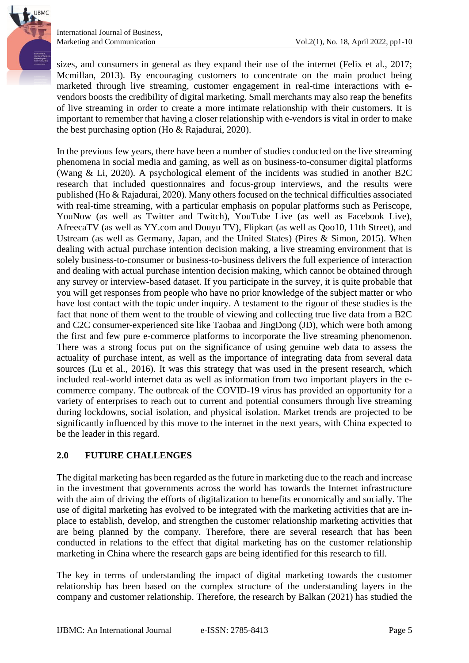sizes, and consumers in general as they expand their use of the internet (Felix et al., 2017; Mcmillan, 2013). By encouraging customers to concentrate on the main product being marketed through live streaming, customer engagement in real-time interactions with evendors boosts the credibility of digital marketing. Small merchants may also reap the benefits of live streaming in order to create a more intimate relationship with their customers. It is important to remember that having a closer relationship with e-vendors is vital in order to make the best purchasing option (Ho & Rajadurai, 2020).

In the previous few years, there have been a number of studies conducted on the live streaming phenomena in social media and gaming, as well as on business-to-consumer digital platforms (Wang & Li, 2020). A psychological element of the incidents was studied in another B2C research that included questionnaires and focus-group interviews, and the results were published (Ho & Rajadurai, 2020). Many others focused on the technical difficulties associated with real-time streaming, with a particular emphasis on popular platforms such as Periscope, YouNow (as well as Twitter and Twitch), YouTube Live (as well as Facebook Live), AfreecaTV (as well as YY.com and Douyu TV), Flipkart (as well as Qoo10, 11th Street), and Ustream (as well as Germany, Japan, and the United States) (Pires & Simon, 2015). When dealing with actual purchase intention decision making, a live streaming environment that is solely business-to-consumer or business-to-business delivers the full experience of interaction and dealing with actual purchase intention decision making, which cannot be obtained through any survey or interview-based dataset. If you participate in the survey, it is quite probable that you will get responses from people who have no prior knowledge of the subject matter or who have lost contact with the topic under inquiry. A testament to the rigour of these studies is the fact that none of them went to the trouble of viewing and collecting true live data from a B2C and C2C consumer-experienced site like Taobaa and JingDong (JD), which were both among the first and few pure e-commerce platforms to incorporate the live streaming phenomenon. There was a strong focus put on the significance of using genuine web data to assess the actuality of purchase intent, as well as the importance of integrating data from several data sources (Lu et al., 2016). It was this strategy that was used in the present research, which included real-world internet data as well as information from two important players in the ecommerce company. The outbreak of the COVID-19 virus has provided an opportunity for a variety of enterprises to reach out to current and potential consumers through live streaming during lockdowns, social isolation, and physical isolation. Market trends are projected to be significantly influenced by this move to the internet in the next years, with China expected to be the leader in this regard.

## **2.0 FUTURE CHALLENGES**

The digital marketing has been regarded as the future in marketing due to the reach and increase in the investment that governments across the world has towards the Internet infrastructure with the aim of driving the efforts of digitalization to benefits economically and socially. The use of digital marketing has evolved to be integrated with the marketing activities that are inplace to establish, develop, and strengthen the customer relationship marketing activities that are being planned by the company. Therefore, there are several research that has been conducted in relations to the effect that digital marketing has on the customer relationship marketing in China where the research gaps are being identified for this research to fill.

The key in terms of understanding the impact of digital marketing towards the customer relationship has been based on the complex structure of the understanding layers in the company and customer relationship. Therefore, the research by Balkan (2021) has studied the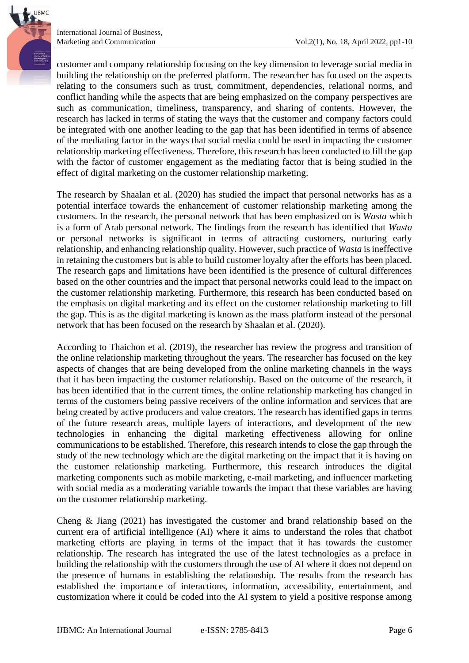International Journal of Business,

customer and company relationship focusing on the key dimension to leverage social media in building the relationship on the preferred platform. The researcher has focused on the aspects relating to the consumers such as trust, commitment, dependencies, relational norms, and conflict handing while the aspects that are being emphasized on the company perspectives are such as communication, timeliness, transparency, and sharing of contents. However, the research has lacked in terms of stating the ways that the customer and company factors could be integrated with one another leading to the gap that has been identified in terms of absence of the mediating factor in the ways that social media could be used in impacting the customer relationship marketing effectiveness. Therefore, this research has been conducted to fill the gap with the factor of customer engagement as the mediating factor that is being studied in the effect of digital marketing on the customer relationship marketing.

The research by Shaalan et al. (2020) has studied the impact that personal networks has as a potential interface towards the enhancement of customer relationship marketing among the customers. In the research, the personal network that has been emphasized on is *Wasta* which is a form of Arab personal network. The findings from the research has identified that *Wasta* or personal networks is significant in terms of attracting customers, nurturing early relationship, and enhancing relationship quality. However, such practice of *Wasta* is ineffective in retaining the customers but is able to build customer loyalty after the efforts has been placed. The research gaps and limitations have been identified is the presence of cultural differences based on the other countries and the impact that personal networks could lead to the impact on the customer relationship marketing. Furthermore, this research has been conducted based on the emphasis on digital marketing and its effect on the customer relationship marketing to fill the gap. This is as the digital marketing is known as the mass platform instead of the personal network that has been focused on the research by Shaalan et al. (2020).

According to Thaichon et al. (2019), the researcher has review the progress and transition of the online relationship marketing throughout the years. The researcher has focused on the key aspects of changes that are being developed from the online marketing channels in the ways that it has been impacting the customer relationship. Based on the outcome of the research, it has been identified that in the current times, the online relationship marketing has changed in terms of the customers being passive receivers of the online information and services that are being created by active producers and value creators. The research has identified gaps in terms of the future research areas, multiple layers of interactions, and development of the new technologies in enhancing the digital marketing effectiveness allowing for online communications to be established. Therefore, this research intends to close the gap through the study of the new technology which are the digital marketing on the impact that it is having on the customer relationship marketing. Furthermore, this research introduces the digital marketing components such as mobile marketing, e-mail marketing, and influencer marketing with social media as a moderating variable towards the impact that these variables are having on the customer relationship marketing.

Cheng & Jiang (2021) has investigated the customer and brand relationship based on the current era of artificial intelligence (AI) where it aims to understand the roles that chatbot marketing efforts are playing in terms of the impact that it has towards the customer relationship. The research has integrated the use of the latest technologies as a preface in building the relationship with the customers through the use of AI where it does not depend on the presence of humans in establishing the relationship. The results from the research has established the importance of interactions, information, accessibility, entertainment, and customization where it could be coded into the AI system to yield a positive response among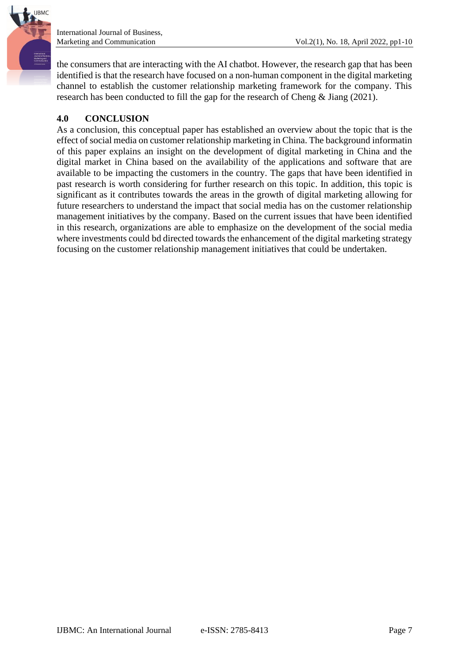

the consumers that are interacting with the AI chatbot. However, the research gap that has been identified is that the research have focused on a non-human component in the digital marketing channel to establish the customer relationship marketing framework for the company. This research has been conducted to fill the gap for the research of Cheng & Jiang (2021).

# **4.0 CONCLUSION**

As a conclusion, this conceptual paper has established an overview about the topic that is the effect of social media on customer relationship marketing in China. The background informatin of this paper explains an insight on the development of digital marketing in China and the digital market in China based on the availability of the applications and software that are available to be impacting the customers in the country. The gaps that have been identified in past research is worth considering for further research on this topic. In addition, this topic is significant as it contributes towards the areas in the growth of digital marketing allowing for future researchers to understand the impact that social media has on the customer relationship management initiatives by the company. Based on the current issues that have been identified in this research, organizations are able to emphasize on the development of the social media where investments could bd directed towards the enhancement of the digital marketing strategy focusing on the customer relationship management initiatives that could be undertaken.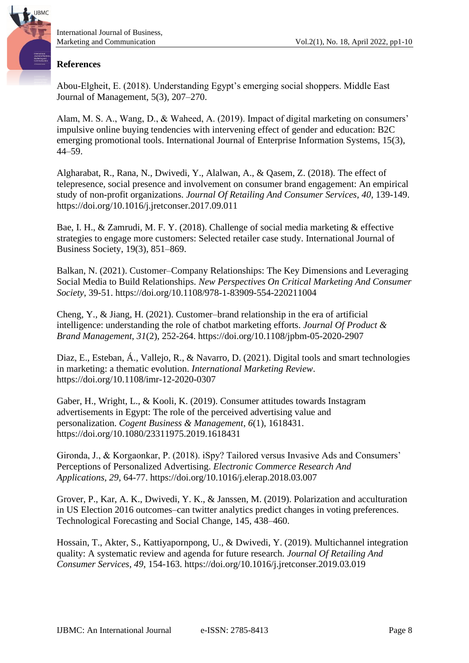

### **References**

Abou-Elgheit, E. (2018). Understanding Egypt's emerging social shoppers. Middle East Journal of Management, 5(3), 207–270.

Alam, M. S. A., Wang, D., & Waheed, A. (2019). Impact of digital marketing on consumers' impulsive online buying tendencies with intervening effect of gender and education: B2C emerging promotional tools. International Journal of Enterprise Information Systems, 15(3), 44–59.

Algharabat, R., Rana, N., Dwivedi, Y., Alalwan, A., & Qasem, Z. (2018). The effect of telepresence, social presence and involvement on consumer brand engagement: An empirical study of non-profit organizations. *Journal Of Retailing And Consumer Services*, *40*, 139-149. https://doi.org/10.1016/j.jretconser.2017.09.011

Bae, I. H., & Zamrudi, M. F. Y. (2018). Challenge of social media marketing & effective strategies to engage more customers: Selected retailer case study. International Journal of Business Society, 19(3), 851–869.

Balkan, N. (2021). Customer–Company Relationships: The Key Dimensions and Leveraging Social Media to Build Relationships. *New Perspectives On Critical Marketing And Consumer Society*, 39-51. https://doi.org/10.1108/978-1-83909-554-220211004

Cheng, Y., & Jiang, H. (2021). Customer–brand relationship in the era of artificial intelligence: understanding the role of chatbot marketing efforts. *Journal Of Product & Brand Management*, *31*(2), 252-264. https://doi.org/10.1108/jpbm-05-2020-2907

Diaz, E., Esteban, Á., Vallejo, R., & Navarro, D. (2021). Digital tools and smart technologies in marketing: a thematic evolution. *International Marketing Review*. https://doi.org/10.1108/imr-12-2020-0307

Gaber, H., Wright, L., & Kooli, K. (2019). Consumer attitudes towards Instagram advertisements in Egypt: The role of the perceived advertising value and personalization. *Cogent Business & Management*, *6*(1), 1618431. https://doi.org/10.1080/23311975.2019.1618431

Gironda, J., & Korgaonkar, P. (2018). iSpy? Tailored versus Invasive Ads and Consumers' Perceptions of Personalized Advertising. *Electronic Commerce Research And Applications*, *29*, 64-77. https://doi.org/10.1016/j.elerap.2018.03.007

Grover, P., Kar, A. K., Dwivedi, Y. K., & Janssen, M. (2019). Polarization and acculturation in US Election 2016 outcomes–can twitter analytics predict changes in voting preferences. Technological Forecasting and Social Change, 145, 438–460.

Hossain, T., Akter, S., Kattiyapornpong, U., & Dwivedi, Y. (2019). Multichannel integration quality: A systematic review and agenda for future research. *Journal Of Retailing And Consumer Services*, *49*, 154-163. https://doi.org/10.1016/j.jretconser.2019.03.019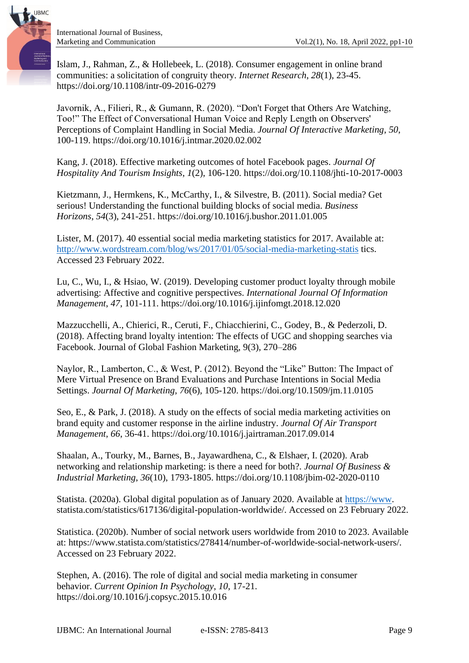

Islam, J., Rahman, Z., & Hollebeek, L. (2018). Consumer engagement in online brand communities: a solicitation of congruity theory. *Internet Research*, *28*(1), 23-45. https://doi.org/10.1108/intr-09-2016-0279

Javornik, A., Filieri, R., & Gumann, R. (2020). "Don't Forget that Others Are Watching, Too!" The Effect of Conversational Human Voice and Reply Length on Observers' Perceptions of Complaint Handling in Social Media. *Journal Of Interactive Marketing*, *50*, 100-119. https://doi.org/10.1016/j.intmar.2020.02.002

Kang, J. (2018). Effective marketing outcomes of hotel Facebook pages. *Journal Of Hospitality And Tourism Insights*, *1*(2), 106-120. https://doi.org/10.1108/jhti-10-2017-0003

Kietzmann, J., Hermkens, K., McCarthy, I., & Silvestre, B. (2011). Social media? Get serious! Understanding the functional building blocks of social media. *Business Horizons*, *54*(3), 241-251. https://doi.org/10.1016/j.bushor.2011.01.005

Lister, M. (2017). 40 essential social media marketing statistics for 2017. Available at: <http://www.wordstream.com/blog/ws/2017/01/05/social-media-marketing-statis> tics. Accessed 23 February 2022.

Lu, C., Wu, I., & Hsiao, W. (2019). Developing customer product loyalty through mobile advertising: Affective and cognitive perspectives. *International Journal Of Information Management*, *47*, 101-111. https://doi.org/10.1016/j.ijinfomgt.2018.12.020

Mazzucchelli, A., Chierici, R., Ceruti, F., Chiacchierini, C., Godey, B., & Pederzoli, D. (2018). Affecting brand loyalty intention: The effects of UGC and shopping searches via Facebook. Journal of Global Fashion Marketing, 9(3), 270–286

Naylor, R., Lamberton, C., & West, P. (2012). Beyond the "Like" Button: The Impact of Mere Virtual Presence on Brand Evaluations and Purchase Intentions in Social Media Settings. *Journal Of Marketing*, *76*(6), 105-120. https://doi.org/10.1509/jm.11.0105

Seo, E., & Park, J. (2018). A study on the effects of social media marketing activities on brand equity and customer response in the airline industry. *Journal Of Air Transport Management*, *66*, 36-41. https://doi.org/10.1016/j.jairtraman.2017.09.014

Shaalan, A., Tourky, M., Barnes, B., Jayawardhena, C., & Elshaer, I. (2020). Arab networking and relationship marketing: is there a need for both?. *Journal Of Business & Industrial Marketing*, *36*(10), 1793-1805. https://doi.org/10.1108/jbim-02-2020-0110

Statista. (2020a). Global digital population as of January 2020. Available at [https://www.](https://www/) statista.com/statistics/617136/digital-population-worldwide/. Accessed on 23 February 2022.

Statistica. (2020b). Number of social network users worldwide from 2010 to 2023. Available at: https://www.statista.com/statistics/278414/number-of-worldwide-social-network-users/. Accessed on 23 February 2022.

Stephen, A. (2016). The role of digital and social media marketing in consumer behavior. *Current Opinion In Psychology*, *10*, 17-21. https://doi.org/10.1016/j.copsyc.2015.10.016